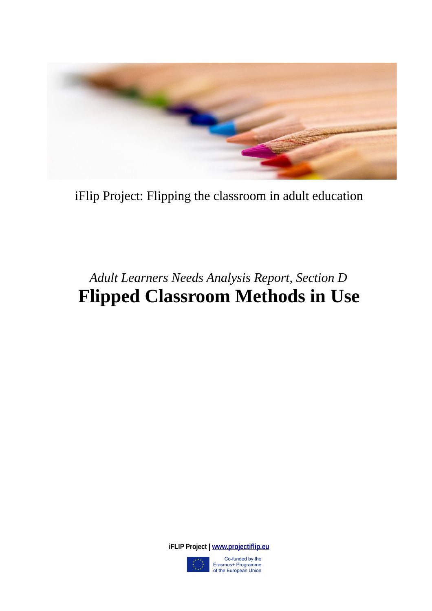

iFlip Project: Flipping the classroom in adult education

# *Adult Learners Needs Analysis Report, Section D* **Flipped Classroom Methods in Use**

**iFLIP Project | [www.projectiflip.eu](http://www.projectiflip.eu/)**



Co-funded by the Erasmus+ Programme of the European Union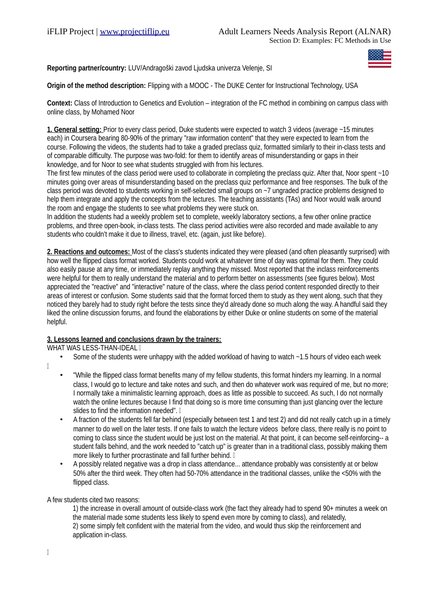**Reporting partner/country:** LUV/Andragoški zavod Ljudska univerza Velenje, SI

# **Origin of the method description:** Flipping with a MOOC - The DUKE Center for Instructional Technology, USA

**Context:** Class of Introduction to Genetics and Evolution – integration of the FC method in combining on campus class with online class, by Mohamed Noor

**1. General setting:** Prior to every class period, Duke students were expected to watch 3 videos (average ~15 minutes each) in Coursera bearing 80-90% of the primary "raw information content" that they were expected to learn from the course. Following the videos, the students had to take a graded preclass quiz, formatted similarly to their in-class tests and of comparable difficulty. The purpose was two-fold: for them to identify areas of misunderstanding or gaps in their knowledge, and for Noor to see what students struggled with from his lectures.

The first few minutes of the class period were used to collaborate in completing the preclass quiz. After that, Noor spent  $-10$ minutes going over areas of misunderstanding based on the preclass quiz performance and free responses. The bulk of the class period was devoted to students working in self-selected small groups on ~7 ungraded practice problems designed to help them integrate and apply the concepts from the lectures. The teaching assistants (TAs) and Noor would walk around the room and engage the students to see what problems they were stuck on.

In addition the students had a weekly problem set to complete, weekly laboratory sections, a few other online practice problems, and three open-book, in-class tests. The class period activities were also recorded and made available to any students who couldn't make it due to illness, travel, etc. (again, just like before).

**2. Reactions and outcomes:** Most of the class's students indicated they were pleased (and often pleasantly surprised) with how well the flipped class format worked. Students could work at whatever time of day was optimal for them. They could also easily pause at any time, or immediately replay anything they missed. Most reported that the inclass reinforcements were helpful for them to really understand the material and to perform better on assessments (see figures below). Most appreciated the "reactive" and "interactive" nature of the class, where the class period content responded directly to their areas of interest or confusion. Some students said that the format forced them to study as they went along, such that they noticed they barely had to study right before the tests since they'd already done so much along the way. A handful said they liked the online discussion forums, and found the elaborations by either Duke or online students on some of the material helpful.

# **3. Lessons learned and conclusions drawn by the trainers:**

WHAT WAS LESS-THAN-IDEAL I

- Some of the students were unhappy with the added workload of having to watch  $-1.5$  hours of video each week
- "While the flipped class format benefits many of my fellow students, this format hinders my learning. In a normal class, I would go to lecture and take notes and such, and then do whatever work was required of me, but no more; I normally take a minimalistic learning approach, does as little as possible to succeed. As such, I do not normally watch the online lectures because I find that doing so is more time consuming than just glancing over the lecture slides to find the information needed".  $\mathbb I$
- A fraction of the students fell far behind (especially between test 1 and test 2) and did not really catch up in a timely manner to do well on the later tests. If one fails to watch the lecture videos before class, there really is no point to coming to class since the student would be just lost on the material. At that point, it can become self-reinforcing-- a student falls behind, and the work needed to "catch up" is greater than in a traditional class, possibly making them more likely to further procrastinate and fall further behind. I
- A possibly related negative was a drop in class attendance... attendance probably was consistently at or below 50% after the third week. They often had 50-70% attendance in the traditional classes, unlike the <50% with the flipped class.

A few students cited two reasons:

1) the increase in overall amount of outside-class work (the fact they already had to spend 90+ minutes a week on the material made some students less likely to spend even more by coming to class), and relatedly, 2) some simply felt confident with the material from the video, and would thus skip the reinforcement and application in-class.

 $\begin{array}{c} \hline \end{array}$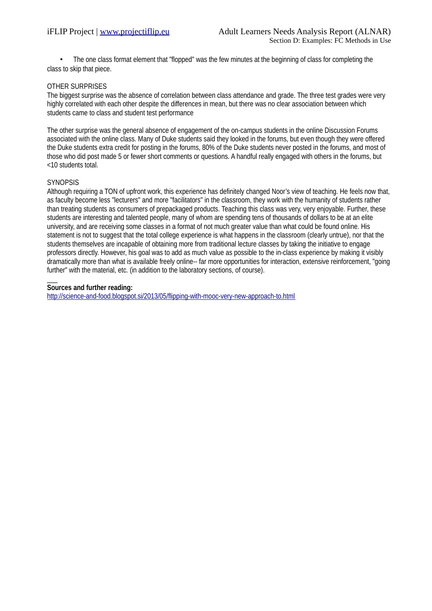• The one class format element that "flopped" was the few minutes at the beginning of class for completing the class to skip that piece.

## OTHER SURPRISES

The biggest surprise was the absence of correlation between class attendance and grade. The three test grades were very highly correlated with each other despite the differences in mean, but there was no clear association between which students came to class and student test performance

The other surprise was the general absence of engagement of the on-campus students in the online Discussion Forums associated with the online class. Many of Duke students said they looked in the forums, but even though they were offered the Duke students extra credit for posting in the forums, 80% of the Duke students never posted in the forums, and most of those who did post made 5 or fewer short comments or questions. A handful really engaged with others in the forums, but <10 students total.

## **SYNOPSIS**

Although requiring a TON of upfront work, this experience has definitely changed Noor's view of teaching. He feels now that, as faculty become less "lecturers" and more "facilitators" in the classroom, they work with the humanity of students rather than treating students as consumers of prepackaged products. Teaching this class was very, very enjoyable. Further, these students are interesting and talented people, many of whom are spending tens of thousands of dollars to be at an elite university, and are receiving some classes in a format of not much greater value than what could be found online. His statement is not to suggest that the total college experience is what happens in the classroom (clearly untrue), nor that the students themselves are incapable of obtaining more from traditional lecture classes by taking the initiative to engage professors directly. However, his goal was to add as much value as possible to the in-class experience by making it visibly dramatically more than what is available freely online-- far more opportunities for interaction, extensive reinforcement, "going further" with the material, etc. (in addition to the laboratory sections, of course).

#### $\mathcal{L}$ **Sources and further reading:**

<http://science-and-food.blogspot.si/2013/05/flipping-with-mooc-very-new-approach-to.html>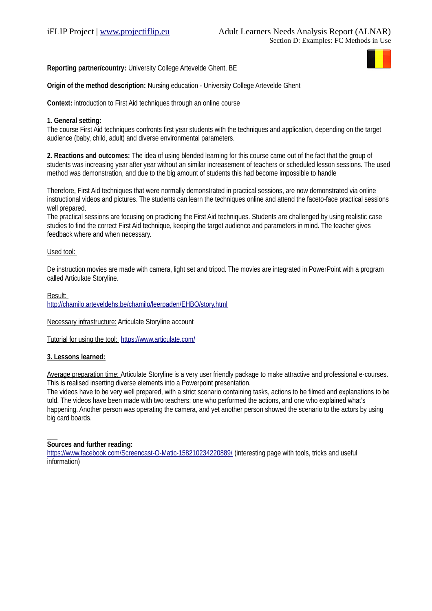**Reporting partner/country:** University College Artevelde Ghent, BE



# **Origin of the method description:** Nursing education - University College Artevelde Ghent

**Context:** introduction to First Aid techniques through an online course

## **1. General setting:**

The course First Aid techniques confronts first year students with the techniques and application, depending on the target audience (baby, child, adult) and diverse environmental parameters.

**2. Reactions and outcomes:** The idea of using blended learning for this course came out of the fact that the group of students was increasing year after year without an similar increasement of teachers or scheduled lesson sessions. The used method was demonstration, and due to the big amount of students this had become impossible to handle

Therefore, First Aid techniques that were normally demonstrated in practical sessions, are now demonstrated via online instructional videos and pictures. The students can learn the techniques online and attend the faceto-face practical sessions well prepared.

The practical sessions are focusing on practicing the First Aid techniques. Students are challenged by using realistic case studies to find the correct First Aid technique, keeping the target audience and parameters in mind. The teacher gives feedback where and when necessary.

## Used tool:

De instruction movies are made with camera, light set and tripod. The movies are integrated in PowerPoint with a program called Articulate Storyline.

Result: <http://chamilo.arteveldehs.be/chamilo/leerpaden/EHBO/story.html>

Necessary infrastructure: Articulate Storyline account

Tutorial for using the tool: <https://www.articulate.com/>

# **3. Lessons learned:**

Average preparation time: Articulate Storyline is a very user friendly package to make attractive and professional e-courses. This is realised inserting diverse elements into a Powerpoint presentation.

The videos have to be very well prepared, with a strict scenario containing tasks, actions to be filmed and explanations to be told. The videos have been made with two teachers: one who performed the actions, and one who explained what's happening. Another person was operating the camera, and yet another person showed the scenario to the actors by using big card boards.

#### $\overline{\phantom{a}}$ **Sources and further reading:**

<https://www.facebook.com/Screencast-O-Matic-158210234220889/>(interesting page with tools, tricks and useful information)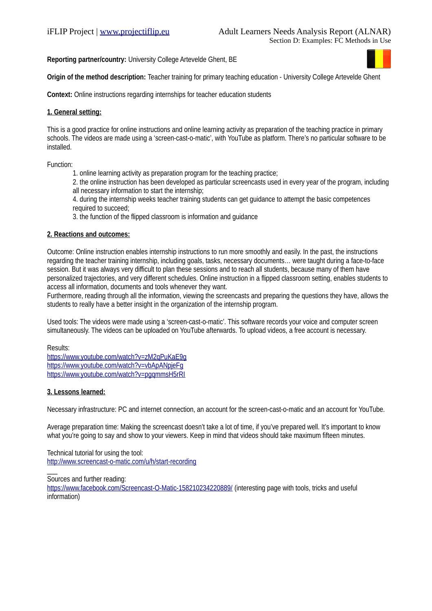**Reporting partner/country:** University College Artevelde Ghent, BE



**Origin of the method description:** Teacher training for primary teaching education - University College Artevelde Ghent

**Context:** Online instructions regarding internships for teacher education students

## **1. General setting:**

This is a good practice for online instructions and online learning activity as preparation of the teaching practice in primary schools. The videos are made using a 'screen-cast-o-matic', with YouTube as platform. There's no particular software to be installed.

Function:

1. online learning activity as preparation program for the teaching practice;

2. the online instruction has been developed as particular screencasts used in every year of the program, including all necessary information to start the internship;

4. during the internship weeks teacher training students can get guidance to attempt the basic competences required to succeed;

3. the function of the flipped classroom is information and guidance

## **2. Reactions and outcomes:**

Outcome: Online instruction enables internship instructions to run more smoothly and easily. In the past, the instructions regarding the teacher training internship, including goals, tasks, necessary documents… were taught during a face-to-face session. But it was always very difficult to plan these sessions and to reach all students, because many of them have personalized trajectories, and very different schedules. Online instruction in a flipped classroom setting, enables students to access all information, documents and tools whenever they want.

Furthermore, reading through all the information, viewing the screencasts and preparing the questions they have, allows the students to really have a better insight in the organization of the internship program.

Used tools: The videos were made using a 'screen-cast-o-matic'. This software records your voice and computer screen simultaneously. The videos can be uploaded on YouTube afterwards. To upload videos, a free account is necessary.

Results:

 $\overline{\phantom{a}}$ 

<https://www.youtube.com/watch?v=zM2qPuKaE9g> <https://www.youtube.com/watch?v=vbApANpjeFg> <https://www.youtube.com/watch?v=pgqmmsH5rRI>

# **3. Lessons learned:**

Necessary infrastructure: PC and internet connection, an account for the screen-cast-o-matic and an account for YouTube.

Average preparation time: Making the screencast doesn't take a lot of time, if you've prepared well. It's important to know what you're going to say and show to your viewers. Keep in mind that videos should take maximum fifteen minutes.

Technical tutorial for using the tool: <http://www.screencast-o-matic.com/u/h/start-recording>

Sources and further reading:

<https://www.facebook.com/Screencast-O-Matic-158210234220889/>(interesting page with tools, tricks and useful information)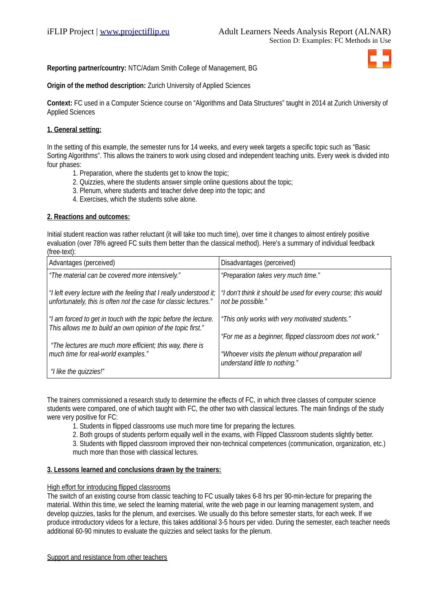# **Reporting partner/country:** NTC/Adam Smith College of Management, BG



# **Origin of the method description:** Zurich University of Applied Sciences

**Context:** FC used in a Computer Science course on "Algorithms and Data Structures" taught in 2014 at Zurich University of Applied Sciences

# **1. General setting:**

In the setting of this example, the semester runs for 14 weeks, and every week targets a specific topic such as "Basic Sorting Algorithms". This allows the trainers to work using closed and independent teaching units. Every week is divided into four phases:

- 1. Preparation, where the students get to know the topic;
- 2. Quizzies, where the students answer simple online questions about the topic;
- 3. Plenum, where students and teacher delve deep into the topic; and
- 4. Exercises, which the students solve alone.

## **2. Reactions and outcomes:**

Initial student reaction was rather reluctant (it will take too much time), over time it changes to almost entirely positive evaluation (over 78% agreed FC suits them better than the classical method). Here's a summary of individual feedback (free-text):

| Advantages (perceived)                                                                                                                  | Disadvantages (perceived)                                                          |
|-----------------------------------------------------------------------------------------------------------------------------------------|------------------------------------------------------------------------------------|
| "The material can be covered more intensively."                                                                                         | "Preparation takes very much time."                                                |
| "I left every lecture with the feeling that I really understood it;<br>unfortunately, this is often not the case for classic lectures." | "I don't think it should be used for every course; this would<br>not be possible." |
| "I am forced to get in touch with the topic before the lecture.<br>This allows me to build an own opinion of the topic first."          | "This only works with very motivated students."                                    |
|                                                                                                                                         | "For me as a beginner, flipped classroom does not work."                           |
| "The lectures are much more efficient; this way, there is<br>much time for real-world examples."                                        | "Whoever visits the plenum without preparation will                                |
| "I like the quizzies!"                                                                                                                  | understand little to nothing."                                                     |

The trainers commissioned a research study to determine the effects of FC, in which three classes of computer science students were compared, one of which taught with FC, the other two with classical lectures. The main findings of the study were very positive for FC:

1. Students in flipped classrooms use much more time for preparing the lectures.

2. Both groups of students perform equally well in the exams, with Flipped Classroom students slightly better.

3. Students with flipped classroom improved their non-technical competences (communication, organization, etc.) much more than those with classical lectures.

#### **3. Lessons learned and conclusions drawn by the trainers:**

#### High effort for introducing flipped classrooms

The switch of an existing course from classic teaching to FC usually takes 6-8 hrs per 90-min-lecture for preparing the material. Within this time, we select the learning material, write the web page in our learning management system, and develop quizzies, tasks for the plenum, and exercises. We usually do this before semester starts, for each week. If we produce introductory videos for a lecture, this takes additional 3-5 hours per video. During the semester, each teacher needs additional 60-90 minutes to evaluate the quizzies and select tasks for the plenum.

Support and resistance from other teachers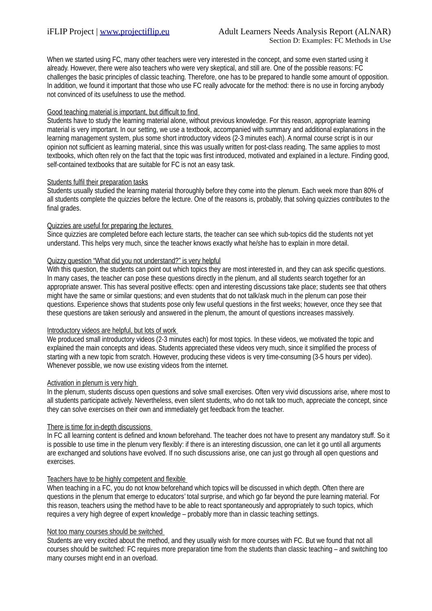When we started using FC, many other teachers were very interested in the concept, and some even started using it already. However, there were also teachers who were very skeptical, and still are. One of the possible reasons: FC challenges the basic principles of classic teaching. Therefore, one has to be prepared to handle some amount of opposition. In addition, we found it important that those who use FC really advocate for the method: there is no use in forcing anybody not convinced of its usefulness to use the method.

## Good teaching material is important, but difficult to find

Students have to study the learning material alone, without previous knowledge. For this reason, appropriate learning material is very important. In our setting, we use a textbook, accompanied with summary and additional explanations in the learning management system, plus some short introductory videos (2-3 minutes each). A normal course script is in our opinion not sufficient as learning material, since this was usually written for post-class reading. The same applies to most textbooks, which often rely on the fact that the topic was first introduced, motivated and explained in a lecture. Finding good, self-contained textbooks that are suitable for FC is not an easy task.

## Students fulfil their preparation tasks

Students usually studied the learning material thoroughly before they come into the plenum. Each week more than 80% of all students complete the quizzies before the lecture. One of the reasons is, probably, that solving quizzies contributes to the final grades.

## Quizzies are useful for preparing the lectures

Since quizzies are completed before each lecture starts, the teacher can see which sub-topics did the students not yet understand. This helps very much, since the teacher knows exactly what he/she has to explain in more detail.

## Quizzy question "What did you not understand?" is very helpful

With this question, the students can point out which topics they are most interested in, and they can ask specific questions. In many cases, the teacher can pose these questions directly in the plenum, and all students search together for an appropriate answer. This has several positive effects: open and interesting discussions take place; students see that others might have the same or similar questions; and even students that do not talk/ask much in the plenum can pose their questions. Experience shows that students pose only few useful questions in the first weeks; however, once they see that these questions are taken seriously and answered in the plenum, the amount of questions increases massively.

#### Introductory videos are helpful, but lots of work

We produced small introductory videos (2-3 minutes each) for most topics. In these videos, we motivated the topic and explained the main concepts and ideas. Students appreciated these videos very much, since it simplified the process of starting with a new topic from scratch. However, producing these videos is very time-consuming (3-5 hours per video). Whenever possible, we now use existing videos from the internet.

#### Activation in plenum is very high

In the plenum, students discuss open questions and solve small exercises. Often very vivid discussions arise, where most to all students participate actively. Nevertheless, even silent students, who do not talk too much, appreciate the concept, since they can solve exercises on their own and immediately get feedback from the teacher.

# There is time for in-depth discussions

In FC all learning content is defined and known beforehand. The teacher does not have to present any mandatory stuff. So it is possible to use time in the plenum very flexibly: if there is an interesting discussion, one can let it go until all arguments are exchanged and solutions have evolved. If no such discussions arise, one can just go through all open questions and exercises.

# Teachers have to be highly competent and flexible

When teaching in a FC, you do not know beforehand which topics will be discussed in which depth. Often there are questions in the plenum that emerge to educators' total surprise, and which go far beyond the pure learning material. For this reason, teachers using the method have to be able to react spontaneously and appropriately to such topics, which requires a very high degree of expert knowledge – probably more than in classic teaching settings.

#### Not too many courses should be switched

Students are very excited about the method, and they usually wish for more courses with FC. But we found that not all courses should be switched: FC requires more preparation time from the students than classic teaching – and switching too many courses might end in an overload.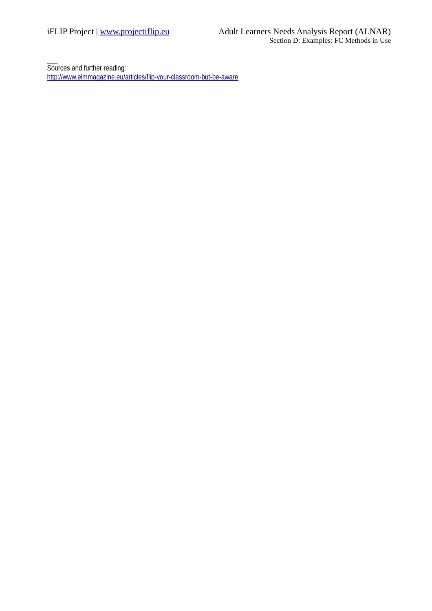$\overline{\phantom{a}}$ Sources and further reading: <http://www.elmmagazine.eu/articles/flip-your-classroom-but-be-aware>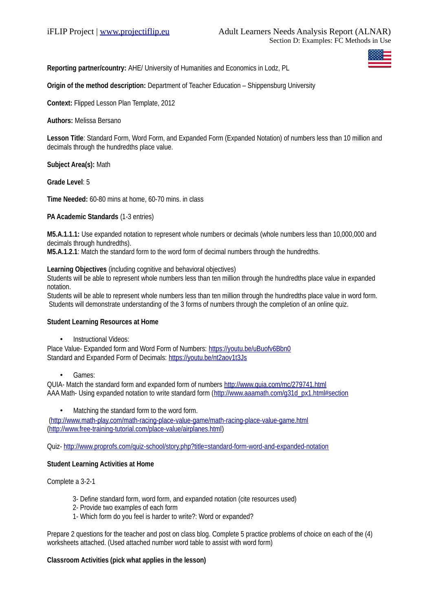**Reporting partner/country:** AHE/ University of Humanities and Economics in Lodz, PL

**Origin of the method description:** Department of Teacher Education – Shippensburg University

**Context:** Flipped Lesson Plan Template, 2012

**Authors:** Melissa Bersano

**Lesson Title**: Standard Form, Word Form, and Expanded Form (Expanded Notation) of numbers less than 10 million and decimals through the hundredths place value.

**Subject Area(s):** Math

**Grade Level**: 5

**Time Needed:** 60-80 mins at home, 60-70 mins. in class

**PA Academic Standards** (1-3 entries)

**M5.A.1.1.1:** Use expanded notation to represent whole numbers or decimals (whole numbers less than 10,000,000 and decimals through hundredths).

**M5.A.1.2.1**: Match the standard form to the word form of decimal numbers through the hundredths.

**Learning Objectives** (including cognitive and behavioral objectives)

Students will be able to represent whole numbers less than ten million through the hundredths place value in expanded notation.

Students will be able to represent whole numbers less than ten million through the hundredths place value in word form. Students will demonstrate understanding of the 3 forms of numbers through the completion of an online quiz.

#### **Student Learning Resources at Home**

• Instructional Videos:

Place Value- Expanded form and Word Form of Numbers:<https://youtu.be/uBuofv6Bbn0> Standard and Expanded Form of Decimals:<https://youtu.be/nt2aov1t3Js>

Games:

QUIA- Match the standard form and expanded form of numbers<http://www.quia.com/mc/279741.html> AAA Math- Using expanded notation to write standard form [\(http://www.aaamath.com/g31d\\_px1.html#section](http://www.aaamath.com/g31d_px1.html#section)

• Matching the standard form to the word form.

 [\(http://www.math-play.com/math-racing-place-value-game/math-racing-place-value-game.html](http://www.math-play.com/math-racing-place-value-game/math-racing-place-value-game.html)  [\(http://www.free-training-tutorial.com/place-value/airplanes.html\)](http://www.free-training-tutorial.com/place-value/airplanes.html)

Quiz-<http://www.proprofs.com/quiz-school/story.php?title=standard-form-word-and-expanded-notation>

## **Student Learning Activities at Home**

Complete a 3-2-1

- 3- Define standard form, word form, and expanded notation (cite resources used)
- 2- Provide two examples of each form
- 1- Which form do you feel is harder to write?: Word or expanded?

Prepare 2 questions for the teacher and post on class blog. Complete 5 practice problems of choice on each of the (4) worksheets attached. (Used attached number word table to assist with word form)

#### **Classroom Activities (pick what applies in the lesson)**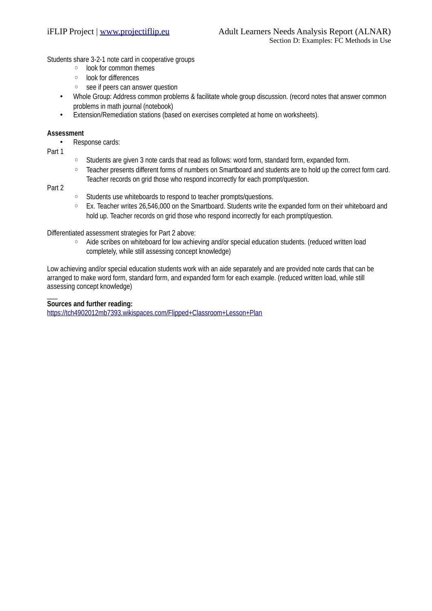Students share 3-2-1 note card in cooperative groups

- look for common themes
- look for differences
- see if peers can answer question
- Whole Group: Address common problems & facilitate whole group discussion. (record notes that answer common problems in math journal (notebook)
- Extension/Remediation stations (based on exercises completed at home on worksheets).

#### **Assessment**

- Response cards:
- Part 1
- Students are given 3 note cards that read as follows: word form, standard form, expanded form.
- Teacher presents different forms of numbers on Smartboard and students are to hold up the correct form card. Teacher records on grid those who respond incorrectly for each prompt/question.

## Part 2

 $\mathcal{L}$ 

- Students use whiteboards to respond to teacher prompts/questions.
- Ex. Teacher writes 26,546,000 on the Smartboard. Students write the expanded form on their whiteboard and hold up. Teacher records on grid those who respond incorrectly for each prompt/question.

#### Differentiated assessment strategies for Part 2 above:

◦ Aide scribes on whiteboard for low achieving and/or special education students. (reduced written load completely, while still assessing concept knowledge)

Low achieving and/or special education students work with an aide separately and are provided note cards that can be arranged to make word form, standard form, and expanded form for each example. (reduced written load, while still assessing concept knowledge)

## **Sources and further reading:**

<https://tch4902012mb7393.wikispaces.com/Flipped+Classroom+Lesson+Plan>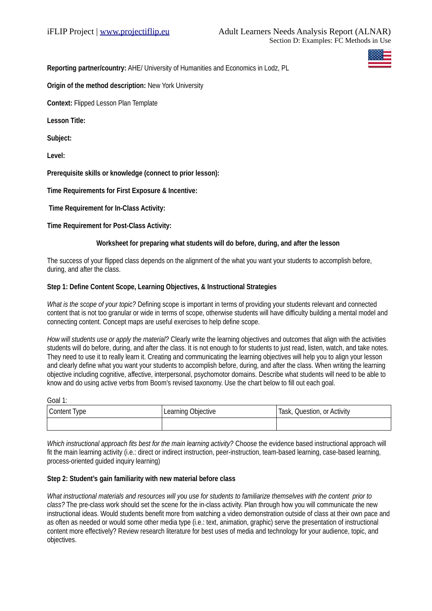**Reporting partner/country:** AHE/ University of Humanities and Economics in Lodz, PL

**Origin of the method description: New York University** 

**Context:** Flipped Lesson Plan Template

**Lesson Title:** 

**Subject:**

**Level:** 

**Prerequisite skills or knowledge (connect to prior lesson):** 

**Time Requirements for First Exposure & Incentive:**

 **Time Requirement for In-Class Activity:** 

**Time Requirement for Post-Class Activity:** 

## **Worksheet for preparing what students will do before, during, and after the lesson**

The success of your flipped class depends on the alignment of the what you want your students to accomplish before, during, and after the class.

## **Step 1: Define Content Scope, Learning Objectives, & Instructional Strategies**

*What is the scope of your topic?* Defining scope is important in terms of providing your students relevant and connected content that is not too granular or wide in terms of scope, otherwise students will have difficulty building a mental model and connecting content. Concept maps are useful exercises to help define scope.

*How will students use or apply the material?* Clearly write the learning objectives and outcomes that align with the activities students will do before, during, and after the class. It is not enough to for students to just read, listen, watch, and take notes. They need to use it to really learn it. Creating and communicating the learning objectives will help you to align your lesson and clearly define what you want your students to accomplish before, during, and after the class. When writing the learning objective including cognitive, affective, interpersonal, psychomotor domains. Describe what students will need to be able to know and do using active verbs from Boom's revised taxonomy. Use the chart below to fill out each goal.

Goal 1:

| Content Type | Learning Objective | Task, Question, or Activity |
|--------------|--------------------|-----------------------------|
|              |                    |                             |

*Which instructional approach fits best for the main learning activity?* Choose the evidence based instructional approach will fit the main learning activity (i.e.: direct or indirect instruction, peer-instruction, team-based learning, case-based learning, process-oriented guided inquiry learning)

## **Step 2: Student's gain familiarity with new material before class**

*What instructional materials and resources will you use for students to familiarize themselves with the content prior to class?* The pre-class work should set the scene for the in-class activity. Plan through how you will communicate the new instructional ideas. Would students benefit more from watching a video demonstration outside of class at their own pace and as often as needed or would some other media type (i.e.: text, animation, graphic) serve the presentation of instructional content more effectively? Review research literature for best uses of media and technology for your audience, topic, and objectives.